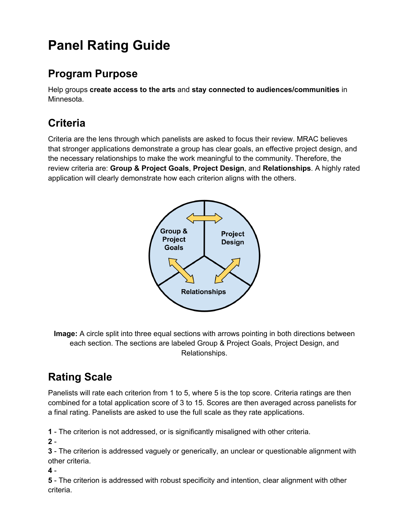# **Panel Rating Guide**

### **Program Purpose**

Help groups **create access to the arts** and **stay connected to audiences/communities** in Minnesota.

## **Criteria**

Criteria are the lens through which panelists are asked to focus their review. MRAC believes that stronger applications demonstrate a group has clear goals, an effective project design, and the necessary relationships to make the work meaningful to the community. Therefore, the review criteria are: **Group & Project Goals**, **Project Design**, and **Relationships**. A highly rated application will clearly demonstrate how each criterion aligns with the others.



**Image:** A circle split into three equal sections with arrows pointing in both directions between each section. The sections are labeled Group & Project Goals, Project Design, and Relationships.

# **Rating Scale**

Panelists will rate each criterion from 1 to 5, where 5 is the top score. Criteria ratings are then combined for a total application score of 3 to 15. Scores are then averaged across panelists for a final rating. Panelists are asked to use the full scale as they rate applications.

**1** - The criterion is not addressed, or is significantly misaligned with other criteria.

**2** -

**3** - The criterion is addressed vaguely or generically, an unclear or questionable alignment with other criteria.

**4** -

**5** - The criterion is addressed with robust specificity and intention, clear alignment with other criteria.